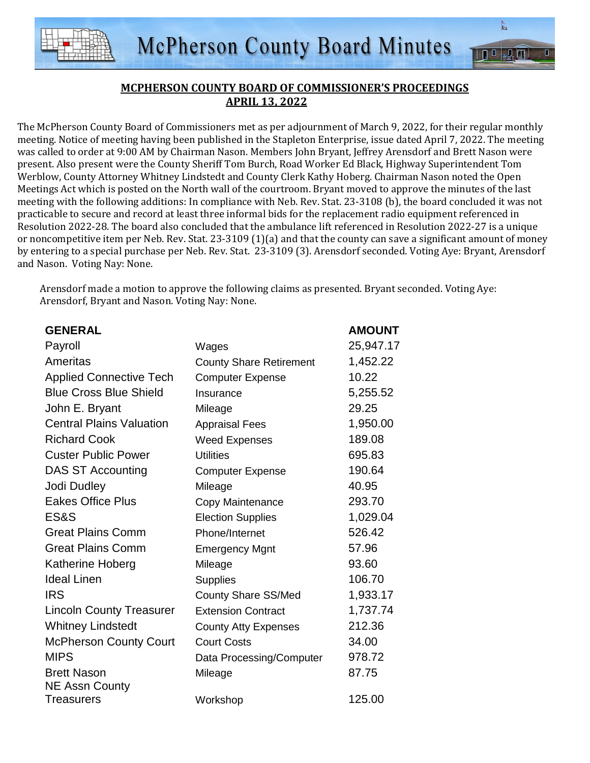

 $\tilde{p}$ 

页

 $\overline{\blacksquare}$ 

The McPherson County Board of Commissioners met as per adjournment of March 9, 2022, for their regular monthly meeting. Notice of meeting having been published in the Stapleton Enterprise, issue dated April 7, 2022. The meeting was called to order at 9:00 AM by Chairman Nason. Members John Bryant, Jeffrey Arensdorf and Brett Nason were present. Also present were the County Sheriff Tom Burch, Road Worker Ed Black, Highway Superintendent Tom Werblow, County Attorney Whitney Lindstedt and County Clerk Kathy Hoberg. Chairman Nason noted the Open Meetings Act which is posted on the North wall of the courtroom. Bryant moved to approve the minutes of the last meeting with the following additions: In compliance with Neb. Rev. Stat. 23-3108 (b), the board concluded it was not practicable to secure and record at least three informal bids for the replacement radio equipment referenced in Resolution 2022-28. The board also concluded that the ambulance lift referenced in Resolution 2022-27 is a unique or noncompetitive item per Neb. Rev. Stat. 23-3109 (1)(a) and that the county can save a significant amount of money by entering to a special purchase per Neb. Rev. Stat. 23-3109 (3). Arensdorf seconded. Voting Aye: Bryant, Arensdorf and Nason. Voting Nay: None.

Arensdorf made a motion to approve the following claims as presented. Bryant seconded. Voting Aye: Arensdorf, Bryant and Nason. Voting Nay: None.

| <b>GENERAL</b>                  |                                | <b>AMOUNT</b> |
|---------------------------------|--------------------------------|---------------|
| Payroll                         | Wages                          | 25,947.17     |
| Ameritas                        | <b>County Share Retirement</b> | 1,452.22      |
| <b>Applied Connective Tech</b>  | <b>Computer Expense</b>        | 10.22         |
| <b>Blue Cross Blue Shield</b>   | Insurance                      | 5,255.52      |
| John E. Bryant                  | Mileage                        | 29.25         |
| <b>Central Plains Valuation</b> | <b>Appraisal Fees</b>          | 1,950.00      |
| <b>Richard Cook</b>             | <b>Weed Expenses</b>           | 189.08        |
| <b>Custer Public Power</b>      | <b>Utilities</b>               | 695.83        |
| <b>DAS ST Accounting</b>        | <b>Computer Expense</b>        | 190.64        |
| Jodi Dudley                     | Mileage                        | 40.95         |
| <b>Eakes Office Plus</b>        | Copy Maintenance               | 293.70        |
| ES&S                            | <b>Election Supplies</b>       | 1,029.04      |
| <b>Great Plains Comm</b>        | Phone/Internet                 | 526.42        |
| <b>Great Plains Comm</b>        | <b>Emergency Mgnt</b>          | 57.96         |
| Katherine Hoberg                | Mileage                        | 93.60         |
| <b>Ideal Linen</b>              | <b>Supplies</b>                | 106.70        |
| <b>IRS</b>                      | <b>County Share SS/Med</b>     | 1,933.17      |
| <b>Lincoln County Treasurer</b> | <b>Extension Contract</b>      | 1,737.74      |
| <b>Whitney Lindstedt</b>        | <b>County Atty Expenses</b>    | 212.36        |
| <b>McPherson County Court</b>   | <b>Court Costs</b>             | 34.00         |
| <b>MIPS</b>                     | Data Processing/Computer       | 978.72        |
| <b>Brett Nason</b>              | Mileage                        | 87.75         |
| <b>NE Assn County</b>           |                                |               |
| <b>Treasurers</b>               | Workshop                       | 125.00        |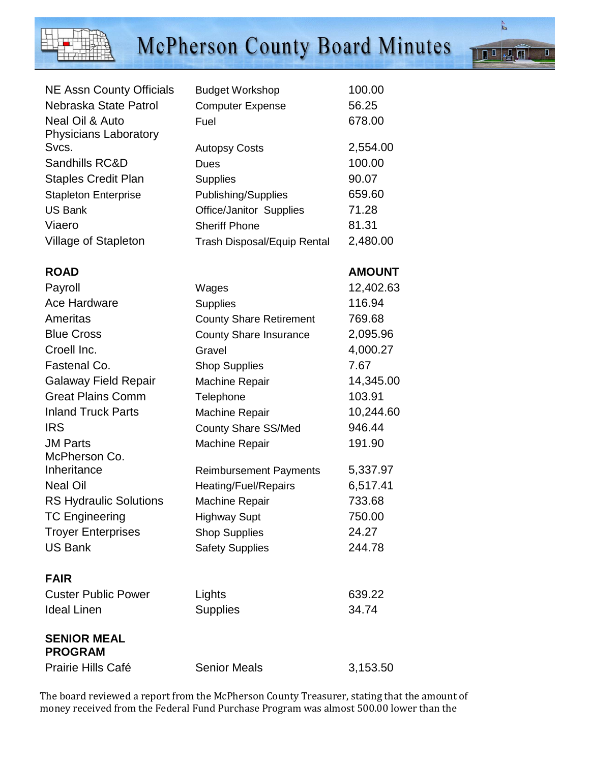

## McPherson County Board Minutes

| <b>NE Assn County Officials</b> | <b>Budget Workshop</b>             | 100.00   |
|---------------------------------|------------------------------------|----------|
| Nebraska State Patrol           | <b>Computer Expense</b>            | 56.25    |
| Neal Oil & Auto                 | Fuel                               | 678.00   |
| <b>Physicians Laboratory</b>    |                                    |          |
| Svcs.                           | <b>Autopsy Costs</b>               | 2,554.00 |
| Sandhills RC&D                  | Dues                               | 100.00   |
| <b>Staples Credit Plan</b>      | <b>Supplies</b>                    | 90.07    |
| <b>Stapleton Enterprise</b>     | Publishing/Supplies                | 659.60   |
| <b>US Bank</b>                  | Office/Janitor Supplies            | 71.28    |
| Viaero                          | <b>Sheriff Phone</b>               | 81.31    |
| Village of Stapleton            | <b>Trash Disposal/Equip Rental</b> | 2,480.00 |

| <b>AMOUNT</b> |
|---------------|
|               |

| Payroll                              | Wages                          | 12,402.63 |
|--------------------------------------|--------------------------------|-----------|
| Ace Hardware                         | <b>Supplies</b>                | 116.94    |
| Ameritas                             | <b>County Share Retirement</b> | 769.68    |
| <b>Blue Cross</b>                    | <b>County Share Insurance</b>  | 2,095.96  |
| Croell Inc.                          | Gravel                         | 4,000.27  |
| Fastenal Co.                         | <b>Shop Supplies</b>           | 7.67      |
| <b>Galaway Field Repair</b>          | Machine Repair                 | 14,345.00 |
| <b>Great Plains Comm</b>             | Telephone                      | 103.91    |
| <b>Inland Truck Parts</b>            | <b>Machine Repair</b>          | 10,244.60 |
| <b>IRS</b>                           | <b>County Share SS/Med</b>     | 946.44    |
| <b>JM Parts</b>                      | Machine Repair                 | 191.90    |
| McPherson Co.                        |                                |           |
| Inheritance                          | <b>Reimbursement Payments</b>  | 5,337.97  |
| <b>Neal Oil</b>                      | Heating/Fuel/Repairs           | 6,517.41  |
| <b>RS Hydraulic Solutions</b>        | <b>Machine Repair</b>          | 733.68    |
| <b>TC Engineering</b>                | <b>Highway Supt</b>            | 750.00    |
| <b>Troyer Enterprises</b>            | <b>Shop Supplies</b>           | 24.27     |
| <b>US Bank</b>                       | <b>Safety Supplies</b>         | 244.78    |
|                                      |                                |           |
| <b>FAIR</b>                          |                                |           |
| <b>Custer Public Power</b>           | Lights                         | 639.22    |
| <b>Ideal Linen</b>                   | <b>Supplies</b>                | 34.74     |
|                                      |                                |           |
| <b>SENIOR MEAL</b><br><b>PROGRAM</b> |                                |           |
| <b>Prairie Hills Café</b>            | <b>Senior Meals</b>            | 3,153.50  |

The board reviewed a report from the McPherson County Treasurer, stating that the amount of money received from the Federal Fund Purchase Program was almost 500.00 lower than the

 $\sqrt{2}$   $\Pi$ 

 $\overline{\mathsf{I}}$ 

 $\overline{\mathbf{R}^0}$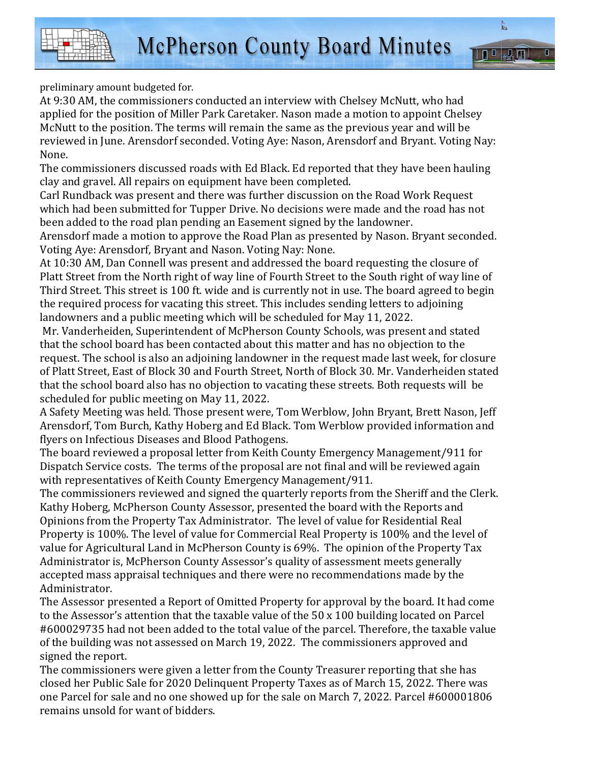r<br>E

 $\overline{\mathbf{p}}$ 



preliminary amount budgeted for.

At 9:30 AM, the commissioners conducted an interview with Chelsey McNutt, who had applied for the position of Miller Park Caretaker. Nason made a motion to appoint Chelsey McNutt to the position. The terms will remain the same as the previous year and will be reviewed in June. Arensdorf seconded. Voting Aye: Nason, Arensdorf and Bryant. Voting Nay: None.

The commissioners discussed roads with Ed Black. Ed reported that they have been hauling clay and gravel. All repairs on equipment have been completed.

Carl Rundback was present and there was further discussion on the Road Work Request which had been submitted for Tupper Drive. No decisions were made and the road has not been added to the road plan pending an Easement signed by the landowner.

Arensdorf made a motion to approve the Road Plan as presented by Nason. Bryant seconded. Voting Aye: Arensdorf, Bryant and Nason. Voting Nay: None.

At 10:30 AM, Dan Connell was present and addressed the board requesting the closure of Platt Street from the North right of way line of Fourth Street to the South right of way line of Third Street. This street is 100 ft. wide and is currently not in use. The board agreed to begin the required process for vacating this street. This includes sending letters to adjoining landowners and a public meeting which will be scheduled for May 11, 2022.

 Mr. Vanderheiden, Superintendent of McPherson County Schools, was present and stated that the school board has been contacted about this matter and has no objection to the request. The school is also an adjoining landowner in the request made last week, for closure of Platt Street, East of Block 30 and Fourth Street, North of Block 30. Mr. Vanderheiden stated that the school board also has no objection to vacating these streets. Both requests will be scheduled for public meeting on May 11, 2022.

A Safety Meeting was held. Those present were, Tom Werblow, John Bryant, Brett Nason, Jeff Arensdorf, Tom Burch, Kathy Hoberg and Ed Black. Tom Werblow provided information and flyers on Infectious Diseases and Blood Pathogens.

The board reviewed a proposal letter from Keith County Emergency Management/911 for Dispatch Service costs. The terms of the proposal are not final and will be reviewed again with representatives of Keith County Emergency Management/911.

The commissioners reviewed and signed the quarterly reports from the Sheriff and the Clerk. Kathy Hoberg, McPherson County Assessor, presented the board with the Reports and Opinions from the Property Tax Administrator. The level of value for Residential Real Property is 100%. The level of value for Commercial Real Property is 100% and the level of value for Agricultural Land in McPherson County is 69%. The opinion of the Property Tax Administrator is, McPherson County Assessor's quality of assessment meets generally accepted mass appraisal techniques and there were no recommendations made by the Administrator.

The Assessor presented a Report of Omitted Property for approval by the board. It had come to the Assessor's attention that the taxable value of the 50 x 100 building located on Parcel #600029735 had not been added to the total value of the parcel. Therefore, the taxable value of the building was not assessed on March 19, 2022. The commissioners approved and signed the report.

The commissioners were given a letter from the County Treasurer reporting that she has closed her Public Sale for 2020 Delinquent Property Taxes as of March 15, 2022. There was one Parcel for sale and no one showed up for the sale on March 7, 2022. Parcel #600001806 remains unsold for want of bidders.